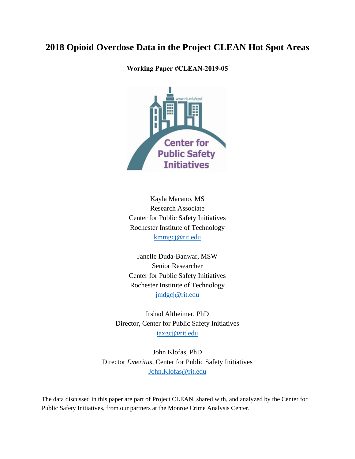# **2018 Opioid Overdose Data in the Project CLEAN Hot Spot Areas**

**Working Paper #CLEAN-2019-05**



Kayla Macano, MS Research Associate Center for Public Safety Initiatives Rochester Institute of Technology [kmmgcj@rit.edu](mailto:kmmgcj@rit.edu)

Janelle Duda-Banwar, MSW Senior Researcher Center for Public Safety Initiatives Rochester Institute of Technology [jmdgcj@rit.edu](mailto:jmdgcj@rit.edu)

Irshad Altheimer, PhD Director, Center for Public Safety Initiatives [iaxgcj@rit.edu](mailto:iaxgcj@rit.edu)

John Klofas, PhD Director *Emeritus*, Center for Public Safety Initiatives [John.Klofas@rit.edu](mailto:John.Klofas@rit.edu)

The data discussed in this paper are part of Project CLEAN, shared with, and analyzed by the Center for Public Safety Initiatives, from our partners at the Monroe Crime Analysis Center.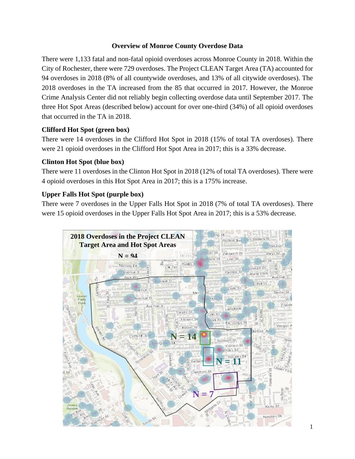#### **Overview of Monroe County Overdose Data**

There were 1,133 fatal and non-fatal opioid overdoses across Monroe County in 2018. Within the City of Rochester, there were 729 overdoses. The Project CLEAN Target Area (TA) accounted for 94 overdoses in 2018 (8% of all countywide overdoses, and 13% of all citywide overdoses). The 2018 overdoses in the TA increased from the 85 that occurred in 2017. However, the Monroe Crime Analysis Center did not reliably begin collecting overdose data until September 2017. The three Hot Spot Areas (described below) account for over one-third (34%) of all opioid overdoses that occurred in the TA in 2018.

## **Clifford Hot Spot (green box)**

There were 14 overdoses in the Clifford Hot Spot in 2018 (15% of total TA overdoses). There were 21 opioid overdoses in the Clifford Hot Spot Area in 2017; this is a 33% decrease.

#### **Clinton Hot Spot (blue box)**

There were 11 overdoses in the Clinton Hot Spot in 2018 (12% of total TA overdoses). There were 4 opioid overdoses in this Hot Spot Area in 2017; this is a 175% increase.

## **Upper Falls Hot Spot (purple box)**

There were 7 overdoses in the Upper Falls Hot Spot in 2018 (7% of total TA overdoses). There were 15 opioid overdoses in the Upper Falls Hot Spot Area in 2017; this is a 53% decrease.

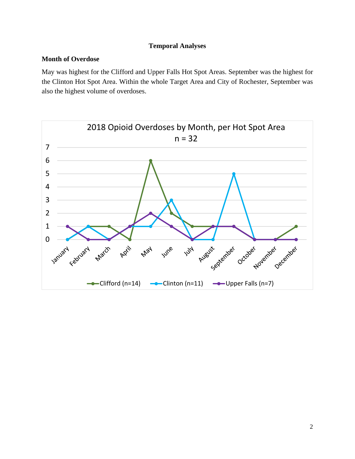#### **Temporal Analyses**

#### **Month of Overdose**

May was highest for the Clifford and Upper Falls Hot Spot Areas. September was the highest for the Clinton Hot Spot Area. Within the whole Target Area and City of Rochester, September was also the highest volume of overdoses.

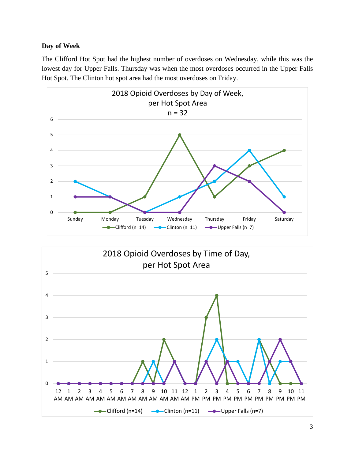## **Day of Week**

The Clifford Hot Spot had the highest number of overdoses on Wednesday, while this was the lowest day for Upper Falls. Thursday was when the most overdoses occurred in the Upper Falls Hot Spot. The Clinton hot spot area had the most overdoses on Friday.



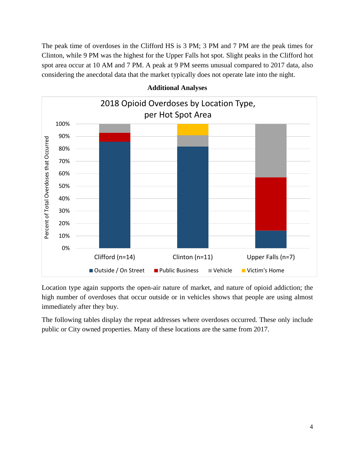The peak time of overdoses in the Clifford HS is 3 PM; 3 PM and 7 PM are the peak times for Clinton, while 9 PM was the highest for the Upper Falls hot spot. Slight peaks in the Clifford hot spot area occur at 10 AM and 7 PM. A peak at 9 PM seems unusual compared to 2017 data, also considering the anecdotal data that the market typically does not operate late into the night.



#### **Additional Analyses**

Location type again supports the open-air nature of market, and nature of opioid addiction; the high number of overdoses that occur outside or in vehicles shows that people are using almost immediately after they buy.

The following tables display the repeat addresses where overdoses occurred. These only include public or City owned properties. Many of these locations are the same from 2017.